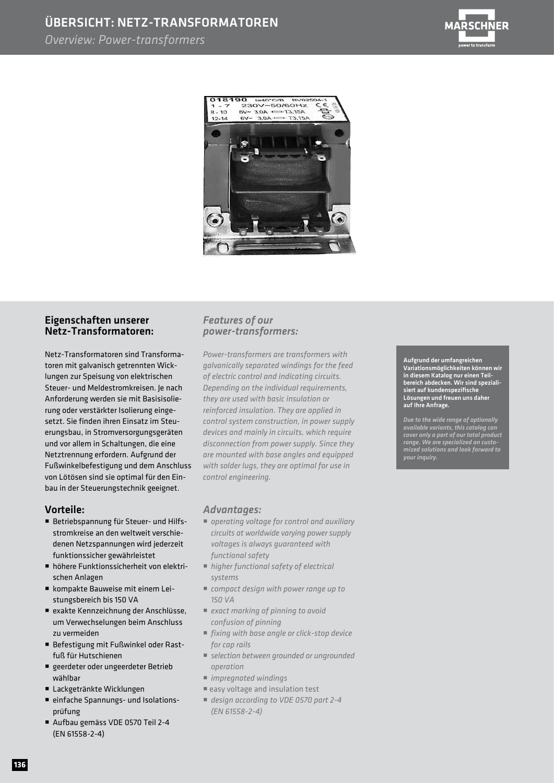## ÜBERSICHT: NETZ-TRANSFORMATOREN

### *Overview: Power-transformers*





### Eigenschaften unserer Netz-Transformatoren:

Netz-Transformatoren sind Transformatoren mit galvanisch getrennten Wicklungen zur Speisung von elektrischen Steuer- und Meldestromkreisen. Je nach Anforderung werden sie mit Basisisolierung oder verstärkter Isolierung eingesetzt. Sie finden ihren Einsatz im Steuerungsbau, in Stromversorgungsgeräten und vor allem in Schaltungen, die eine Netztrennung erfordern. Aufgrund der Fußwinkelbefestigung und dem Anschluss von Lötösen sind sie optimal für den Einbau in der Steuerungstechnik geeignet.

#### Vorteile:

- Betriebspannung für Steuer- und Hilfs stromkreise an den weltweit verschie denen Netzspannungen wird jederzeit funktionssicher gewährleistet
- höhere Funktionssicherheit von elektri schen Anlagen
- kompakte Bauweise mit einem Lei stungsbereich bis 150 VA
- exakte Kennzeichnung der Anschlüsse, um Verwechselungen beim Anschluss zu vermeiden
- Befestigung mit Fußwinkel oder Rast fuß für Hutschienen
- geerdeter oder ungeerdeter Betrieb wählbar
- Lackgetränkte Wicklungen
- einfache Spannungs- und Isolations prüfung
- Aufbau gemäss VDE 0570 Teil 2-4 (EN 61558-2-4)

### *Features of our power-transformers:*

*Power-transformers are transformers with galvanically separated windings for the feed of electric control and indicating circuits. Depending on the individual requirements, they are used with basic insulation or reinforced insulation. They are applied in control system construction, in power supply devices and mainly in circuits, which require disconnection from power supply. Since they are mounted with base angles and equipped with solder lugs, they are optimal for use in control engineering.*

#### *Advantages:*

- *operating voltage for control and auxiliary circuits at worldwide varying power supply voltages is always guaranteed with functional safety*
- *higher functional safety of electrical systems*
- *compact design with power range up to 150 VA*
- *exact marking of pinning to avoid confusion of pinning*
- *fixing with base angle or click-stop device for cap rails*
- *selection between grounded or ungrounded operation*
- *impregnated windings*
- easy voltage and insulation test
- *design according to VDE 0570 part 2-4 (EN 61558-2-4)*

Aufgrund der umfangreichen Variationsmöglichkeiten können wir in diesem Katalog nur einen Teilbereich abdecken. Wir sind spezialisiert auf kundenspezifische Lösungen und freuen uns daher auf Ihre Anfrage.

*Due to the wide range of optionally available variants, this catalog can cover only a part of our total product range. We are specialized on customized solutions and look forward to your inquiry.*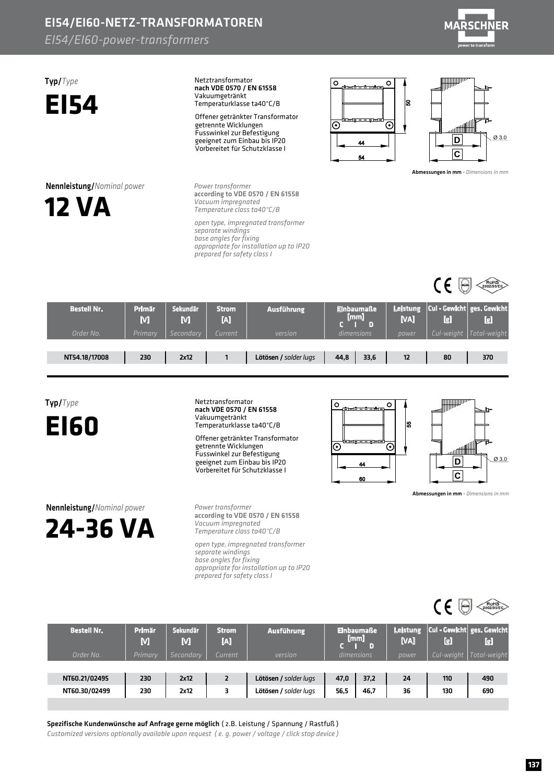## EI54/EI60-NETZ-TRANSFORMATOREN

### *EI54/EI60-power-transformers*



Typ/*Type* **EI54** Netztransformator Vakuumgetränkt Temperaturklasse ta40°C/B nach VDE 0570 / EN 61558 Offener getränkter Transformator getrennte Wicklungen Fusswinkel zur Befestigung geeignet zum Einbau bis IP20 Vorbereitet für Schutzklasse I



**Power transformer** *Vacuumimpregnated Temperatureclassta40°C/B* according to VDE 0570 / EN 61558

open type, impregnated transformer *separatewindings baseanglesforfixing appropriateforinstallationuptoIP20 preparedforsafetyclassI*





**IIIIIIIIII**III

Abmessungen in mm - *Dimensions in mm* 

 $\mathbf{C} \in \Theta$ 

| <b>Bestell Nr.</b> | Primär<br>M | Sekundär<br>M | <b>Strom</b><br>M | <b>Ausführung</b>     | :Einbaumaße<br>[mm] |      | <b>NAI</b> | [g]        | Leistung   Cul - Gewicht   ges. Gewicht<br>$\left[\mathbf{g}\right]$ |
|--------------------|-------------|---------------|-------------------|-----------------------|---------------------|------|------------|------------|----------------------------------------------------------------------|
| Order No.          | Primary     | Secondarv     | Current           | version               | dimensions          |      | power      | Cul-weight | Total-weight                                                         |
|                    |             |               |                   |                       |                     |      |            |            |                                                                      |
| NT54.18/17008      | 230         | 2x12          |                   | Lötösen / solder lugs | 44,8                | 33,6 | 12         | 80         | 370                                                                  |
|                    |             |               |                   |                       |                     |      |            |            |                                                                      |

Typ/*Type*

**EI60**

Netztransformator Vakuumgetränkt Temperaturklasse ta40°C/B nach VDE 0570 / EN 61558

Offener getränkter Transformator getrennte Wicklungen Fusswinkel zur Befestigung geeignet zum Einbau bis IP20 Vorbereitet für Schutzklasse I



Abmessungen in mm - *Dimensions in mm* 

Ø3.0

Nennleistung/*Nominalpower* **24-36VA** *Powertransformer Vacuumimpregnated Temperatureclassta40°C/B* according to VDE 0570 / EN 61558

*opentype,impregnatedtransformer separatewindings baseanglesforfixing appropriateforinstallationuptoIP20 prepared for safety class I* 



Spezifische Kundenwünsche auf Anfrage gerne möglich (z.B. Leistung / Spannung / Rastfuß)

*Customized versions optionally available upon request (e.g. power / voltage / click stop device)*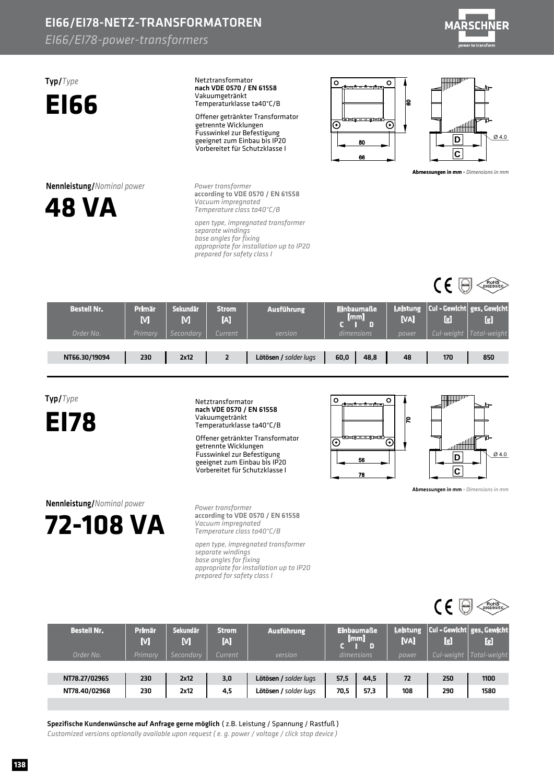# EI66/EI78-NETZ-TRANSFORMATOREN

### *EI66/EI78-power-transformers*



#### Typ/*Type* **EI66** Netztransformator Vakuumgetränkt Temperaturklasse ta40°C/B nach VDE 0570 / EN 61558 Offener getränkter Transformator getrennte Wicklungen Fusswinkel zur Befestigung geeignet zum Einbau bis IP20 Vorbereitet für Schutzklasse I

**Nennleistung/***Nominal power* 



**Power transformer** *Vacuumimpregnated Temperatureclassta40°C/B* according to VDE 0570 / EN 61558

open type, impregnated transformer *separatewindings baseanglesforfixing appropriateforinstallationuptoIP20 preparedforsafetyclassI*





**IIIIIIII**III

Abmessungen in mm - *Dimensions in mm* 

 $\mathsf{CE}$ 

| <b>Bestell Nr.</b> | <b>Primär</b><br>M | Sekundär<br>M | <b>Strom</b><br>M | <b>Ausführung</b>     | <b>Einbaumaße</b><br>[mm] |      | Leistung<br>[VA] | $ $ Cul - Gewicht $ $ ges. Gewicht<br>ū | $\left[\mathbf{g}\right]$ |
|--------------------|--------------------|---------------|-------------------|-----------------------|---------------------------|------|------------------|-----------------------------------------|---------------------------|
| Order No.          | Primary            | Secondarv     | Current           | version               | dimensions                |      | power            | Cul-weight                              | Total-weight              |
|                    |                    |               |                   |                       |                           |      |                  |                                         |                           |
| NT66.30/19094      | 230                | 2x12          |                   | Lötösen / solder lugs | 60,0                      | 48,8 | 48               | 170                                     | 850                       |
|                    |                    |               |                   |                       |                           |      |                  |                                         |                           |

Typ/*Type*

**EI78**

Netztransformator Vakuumgetränkt Temperaturklasse ta40°C/B nach VDE 0570 / EN 61558

Offener getränkter Transformator getrennte Wicklungen Fusswinkel zur Befestigung geeignet zum Einbau bis IP20 Vorbereitet für Schutzklasse I



Abmessungen in mm - Dimensions in mm

Ø4.0

Nennleistung/*Nominalpower* **72-108VA**

*Powertransformer Vacuumimpregnated Temperatureclassta40°C/B* according to VDE 0570 / EN 61558

*opentype,impregnatedtransformer separatewindings baseanglesforfixing appropriateforinstallationuptoIP20 preparedforsafetyclassI*



Spezifische Kundenwünsche auf Anfrage gerne möglich (z.B. Leistung / Spannung / Rastfuß) *Customized versions optionally available upon request (e. g. power / voltage / click stop device)*